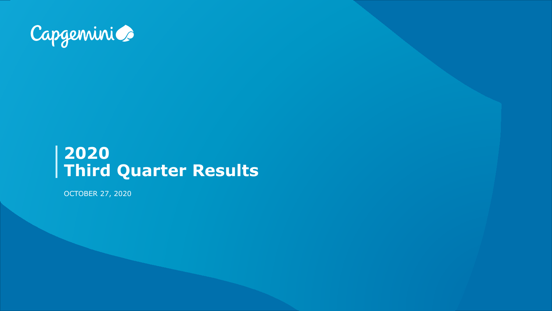

### **2020 Third Quarter Results**

OCTOBER 27, 2020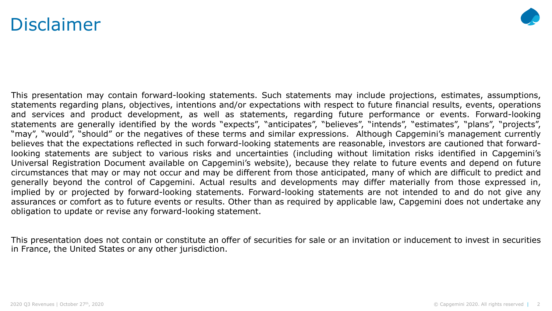### Disclaimer



This presentation may contain forward-looking statements. Such statements may include projections, estimates, assumptions, statements regarding plans, objectives, intentions and/or expectations with respect to future financial results, events, operations and services and product development, as well as statements, regarding future performance or events. Forward-looking statements are generally identified by the words "expects", "anticipates", "believes", "intends", "estimates", "plans", "projects", "may", "would", "should" or the negatives of these terms and similar expressions. Although Capgemini's management currently believes that the expectations reflected in such forward-looking statements are reasonable, investors are cautioned that forwardlooking statements are subject to various risks and uncertainties (including without limitation risks identified in Capgemini's Universal Registration Document available on Capgemini's website), because they relate to future events and depend on future circumstances that may or may not occur and may be different from those anticipated, many of which are difficult to predict and generally beyond the control of Capgemini. Actual results and developments may differ materially from those expressed in, implied by or projected by forward-looking statements. Forward-looking statements are not intended to and do not give any assurances or comfort as to future events or results. Other than as required by applicable law, Capgemini does not undertake any obligation to update or revise any forward-looking statement.

This presentation does not contain or constitute an offer of securities for sale or an invitation or inducement to invest in securities in France, the United States or any other jurisdiction.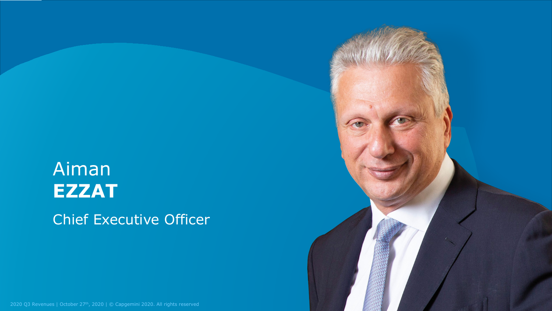## Aiman **EZZAT** Chief Executive Officer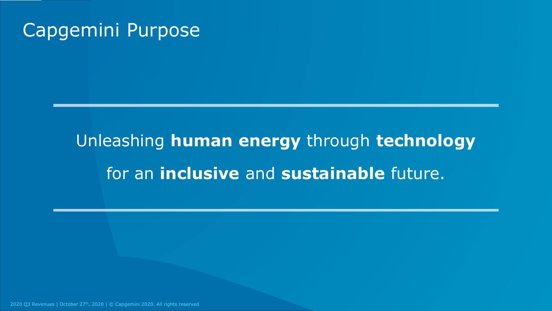### Capgemini Purpose

# Unleashing **human energy** through **technology** for an **inclusive** and **sustainable** future.

2020 Q3 Revenues | October 27<sup>th</sup>, 2020 | © Capgemini 2020. All rights reserved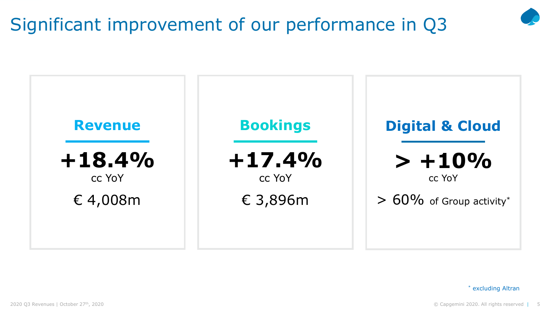### Significant improvement of our performance in Q3



\* excluding Altran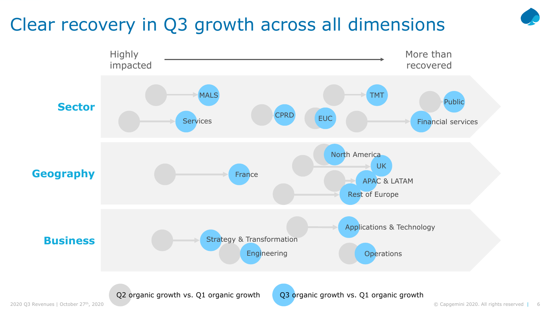### Clear recovery in Q3 growth across all dimensions

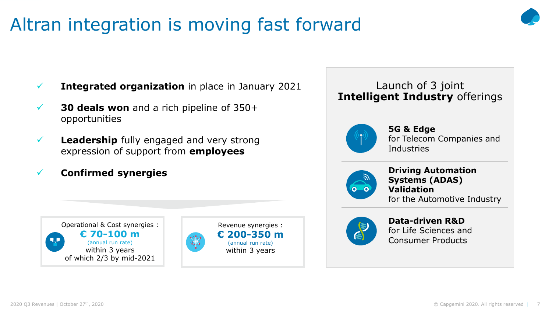### Altran integration is moving fast forward



- **50 deals won** and a rich pipeline of 350+ opportunities
	- **Leadership** fully engaged and very strong expression of support from **employees**
	- **Confirmed synergies**





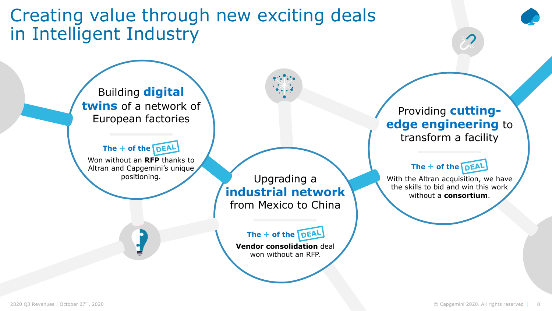Creating value through new exciting deals in Intelligent Industry

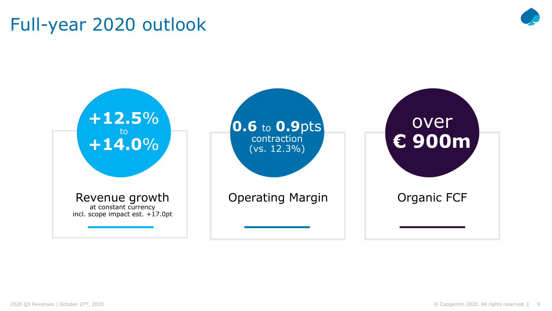### Full-year 2020 outlook



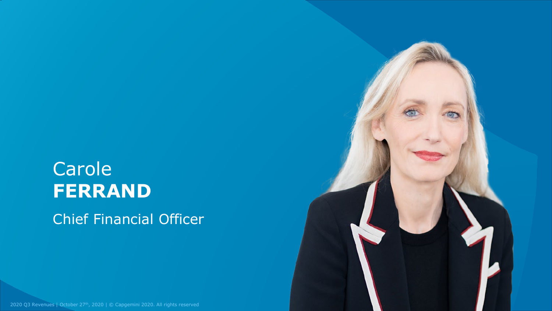# Carole **FERRAND**

Chief Financial Officer

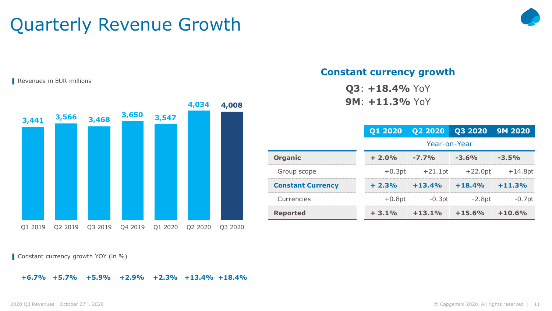### Quarterly Revenue Growth



Revenues in EUR millions

|                          |          | Q1 2020 Q2 2020 Q3 2020 9M 2020 |           |           |
|--------------------------|----------|---------------------------------|-----------|-----------|
|                          |          | Year-on-Year                    |           |           |
| <b>Organic</b>           | $+2.0%$  | $-7.7%$                         | $-3.6%$   | $-3.5%$   |
| Group scope              |          | $+0.3pt$ $+21.1pt$              | $+22.0pt$ | $+14.8pt$ |
| <b>Constant Currency</b> | $+2.3%$  | $+13.4%$                        | $+18.4%$  | $+11.3%$  |
| Currencies               | $+0.8pt$ | $-0.3pt$                        | $-2.8pt$  | $-0.7$ pt |
| <b>Reported</b>          | $+3.1\%$ | $+13.1%$                        | $+15.6%$  | $+10.6%$  |
|                          |          |                                 |           |           |

**Constant currency growth**

**Q3**: **+18.4%** YoY **9M**: **+11.3%** YoY



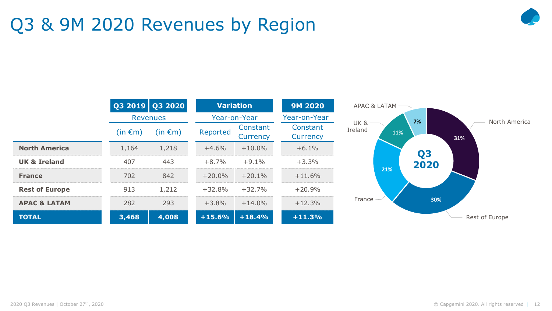### Q3 & 9M 2020 Revenues by Region



|                         |              | Q3 2019 Q3 2020 |          | <b>Variation</b>     | <b>9M 2020</b>       | APAC & LATAM               |     |                |     |                |
|-------------------------|--------------|-----------------|----------|----------------------|----------------------|----------------------------|-----|----------------|-----|----------------|
|                         |              | <b>Revenues</b> |          | Year-on-Year         | Year-on-Year         |                            |     | 7%             |     | North America  |
|                         | $(in \in m)$ | $(in \in m)$    | Reported | Constant<br>Currency | Constant<br>Currency | <b>UK &amp;</b><br>Ireland | 11% |                | 31% |                |
| <b>North America</b>    | 1,164        | 1,218           | $+4.6%$  | $+10.0\%$            | $+6.1%$              |                            |     | Q <sub>3</sub> |     |                |
| <b>UK &amp; Ireland</b> | 407          | 443             | $+8.7%$  | $+9.1%$              | $+3.3%$              |                            |     | 2020           |     |                |
| <b>France</b>           | 702          | 842             | $+20.0%$ | $+20.1%$             | $+11.6\%$            |                            | 21% |                |     |                |
| <b>Rest of Europe</b>   | 913          | 1,212           | $+32.8%$ | $+32.7%$             | $+20.9%$             |                            |     |                |     |                |
| <b>APAC &amp; LATAM</b> | 282          | 293             | $+3.8%$  | $+14.0%$             | $+12.3%$             | France                     |     | 30%            |     |                |
| <b>TOTAL</b>            | 3,468        | 4,008           | $+15.6%$ | $+18.4%$             | $+11.3%$             |                            |     |                |     | Rest of Europe |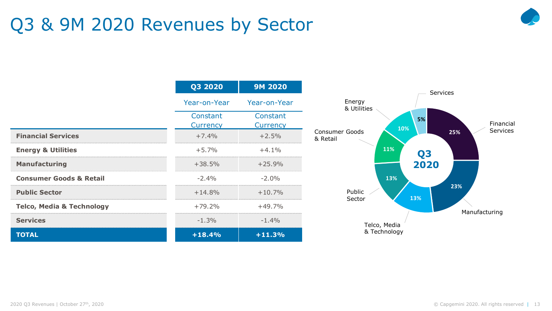### Q3 & 9M 2020 Revenues by Sector



|                                      | Q3 2020              | <b>9M 2020</b>       |
|--------------------------------------|----------------------|----------------------|
|                                      | Year-on-Year         | Year-on-Year         |
|                                      | Constant<br>Currency | Constant<br>Currency |
| <b>Financial Services</b>            | $+7.4%$              | $+2.5%$              |
| <b>Energy &amp; Utilities</b>        | $+5.7%$              | $+4.1%$              |
| <b>Manufacturing</b>                 | $+38.5%$             | $+25.9%$             |
| <b>Consumer Goods &amp; Retail</b>   | $-2.4%$              | $-2.0%$              |
| <b>Public Sector</b>                 | $+14.8%$             | $+10.7%$             |
| <b>Telco, Media &amp; Technology</b> | $+79.2%$             | $+49.7%$             |
| <b>Services</b>                      | $-1.3%$              | $-1.4%$              |
| <b>TOTAL</b>                         | $+18.4%$             | $+11.3%$             |

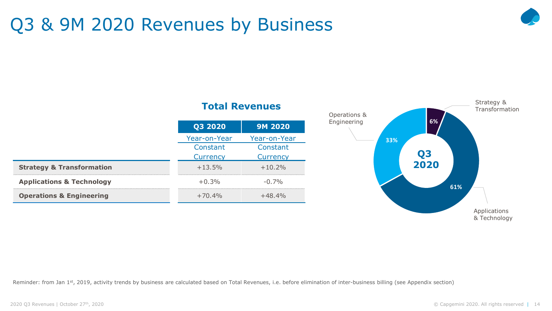### Q3 & 9M 2020 Revenues by Business



#### **Total Revenues**

|                                      | Q3 2020         | <b>9M 2020</b> |  |  |
|--------------------------------------|-----------------|----------------|--|--|
|                                      | Year-on-Year    | Year-on-Year   |  |  |
|                                      | Constant        | Constant       |  |  |
|                                      | <b>Currency</b> | Currency       |  |  |
| <b>Strategy &amp; Transformation</b> | $+13.5%$        | $+10.2%$       |  |  |
| <b>Applications &amp; Technology</b> | $+0.3%$         | $-0.7%$        |  |  |
| <b>Operations &amp; Engineering</b>  | $+70.4%$        | $+48.4%$       |  |  |



Reminder: from Jan 1<sup>st</sup>, 2019, activity trends by business are calculated based on Total Revenues, i.e. before elimination of inter-business billing (see Appendix section)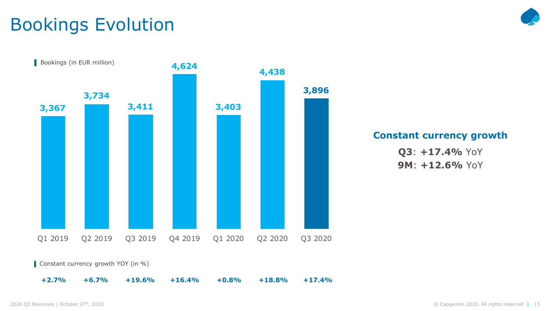### Bookings Evolution



**Constant currency growth**

**Q3**: **+17.4%** YoY **9M**: **+12.6%** YoY

■ Constant currency growth YOY (in %)

**+2.7% +6.7% +19.6% +16.4% +0.8% +18.8% +17.4%**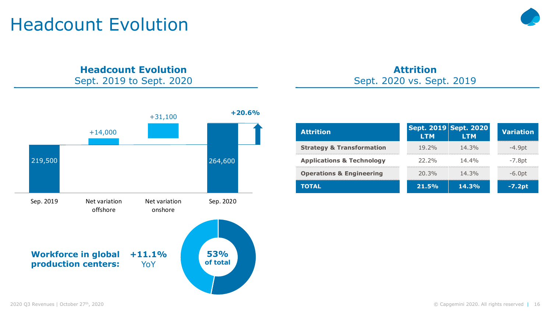### Headcount Evolution



#### **Headcount Evolution** Sept. 2019 to Sept. 2020



#### **Attrition** Sept. 2020 vs. Sept. 2019

| <b>Attrition</b>                     | <b>LTM</b> | Sept. 2019 Sept. 2020<br><b>LTM</b> | <b>Variation</b>                          |  |
|--------------------------------------|------------|-------------------------------------|-------------------------------------------|--|
| <b>Strategy &amp; Transformation</b> | $19.2\%$   | 14.3%                               | -4.9pt                                    |  |
| <b>Applications &amp; Technology</b> | 22.2%      | $14.4\%$                            | -7.8pt<br>------------------------------- |  |
| <b>Operations &amp; Engineering</b>  | 20.3%      | $14.3\%$                            | $-6.0pt$                                  |  |
| TOTAL                                | 21.5%      | $14.3\%$                            | -7.2pt                                    |  |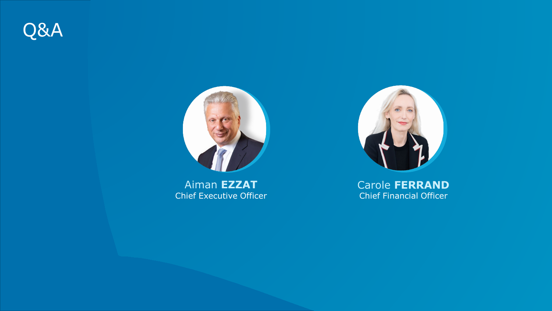



Aiman **EZZAT** Chief Executive Officer



Carole **FERRAND** Chief Financial Officer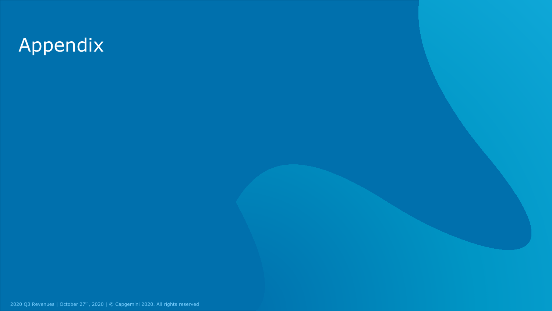# Appendix

2020 Q3 Revenues | October 27<sup>th</sup>, 2020 | © Capgemini 2020. All rights reserved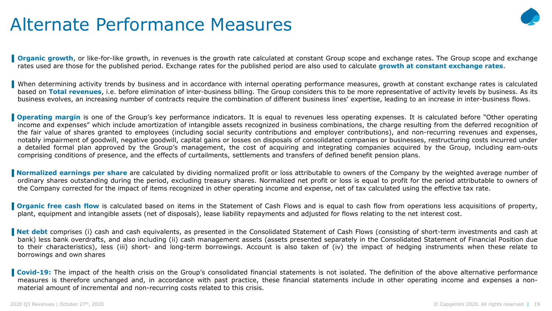### Alternate Performance Measures



**Organic growth**, or like-for-like growth, in revenues is the growth rate calculated at constant Group scope and exchange rates. The Group scope and exchange rates used are those for the published period. Exchange rates for the published period are also used to calculate **growth at constant exchange rates**.

When determining activity trends by business and in accordance with internal operating performance measures, growth at constant exchange rates is calculated based on **Total revenues**, i.e. before elimination of inter-business billing. The Group considers this to be more representative of activity levels by business. As its business evolves, an increasing number of contracts require the combination of different business lines' expertise, leading to an increase in inter-business flows.

**Operating margin** is one of the Group's key performance indicators. It is equal to revenues less operating expenses. It is calculated before "Other operating income and expenses" which include amortization of intangible assets recognized in business combinations, the charge resulting from the deferred recognition of the fair value of shares granted to employees (including social security contributions and employer contributions), and non-recurring revenues and expenses, notably impairment of goodwill, negative goodwill, capital gains or losses on disposals of consolidated companies or businesses, restructuring costs incurred under a detailed formal plan approved by the Group's management, the cost of acquiring and integrating companies acquired by the Group, including earn-outs comprising conditions of presence, and the effects of curtailments, settlements and transfers of defined benefit pension plans.

**Normalized earnings per share** are calculated by dividing normalized profit or loss attributable to owners of the Company by the weighted average number of ordinary shares outstanding during the period, excluding treasury shares. Normalized net profit or loss is equal to profit for the period attributable to owners of the Company corrected for the impact of items recognized in other operating income and expense, net of tax calculated using the effective tax rate.

**Organic free cash flow** is calculated based on items in the Statement of Cash Flows and is equal to cash flow from operations less acquisitions of property, plant, equipment and intangible assets (net of disposals), lease liability repayments and adjusted for flows relating to the net interest cost.

**Net debt** comprises (i) cash and cash equivalents, as presented in the Consolidated Statement of Cash Flows (consisting of short-term investments and cash at bank) less bank overdrafts, and also including (ii) cash management assets (assets presented separately in the Consolidated Statement of Financial Position due to their characteristics), less (iii) short- and long-term borrowings. Account is also taken of (iv) the impact of hedging instruments when these relate to borrowings and own shares

**Covid-19:** The impact of the health crisis on the Group's consolidated financial statements is not isolated. The definition of the above alternative performance measures is therefore unchanged and, in accordance with past practice, these financial statements include in other operating income and expenses a nonmaterial amount of incremental and non-recurring costs related to this crisis.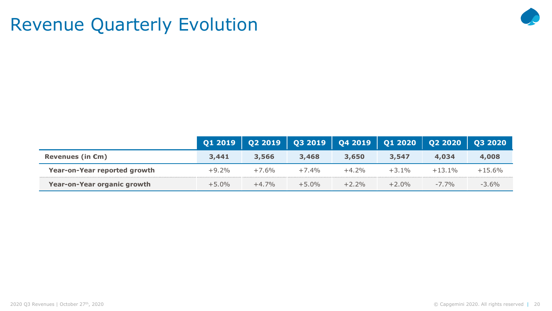### Revenue Quarterly Evolution



|                              | <b>Q1 2019</b> |         | Q2 2019   Q3 2019   Q4 2019   Q1 2020   Q2 2020   Q3 2020 |         |          |           |           |
|------------------------------|----------------|---------|-----------------------------------------------------------|---------|----------|-----------|-----------|
| Revenues (in $\epsilon$ m)   | 3,441          | 3,566   | 3,468                                                     | 3,650   | 3,547    | 4,034     | 4,008     |
| Year-on-Year reported growth | $+9.2%$        | $+7.6%$ | $+7.4%$                                                   | $+4.2%$ | $+3.1\%$ | $+13.1\%$ | $+15.6\%$ |
| Year-on-Year organic growth  | $+5.0\%$       | $+4.7%$ | $+5.0\%$                                                  | $+2.2%$ | $+2.0%$  | $-7.7\%$  | $-3.6%$   |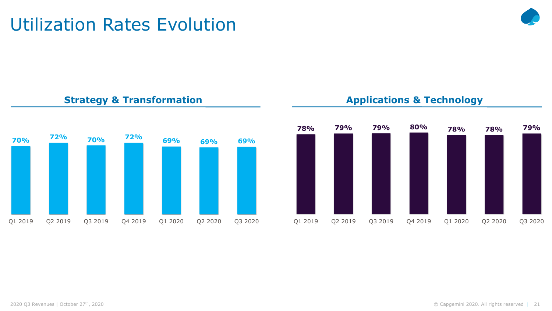### Utilization Rates Evolution



#### **Strategy & Transformation**



#### **Applications & Technology**